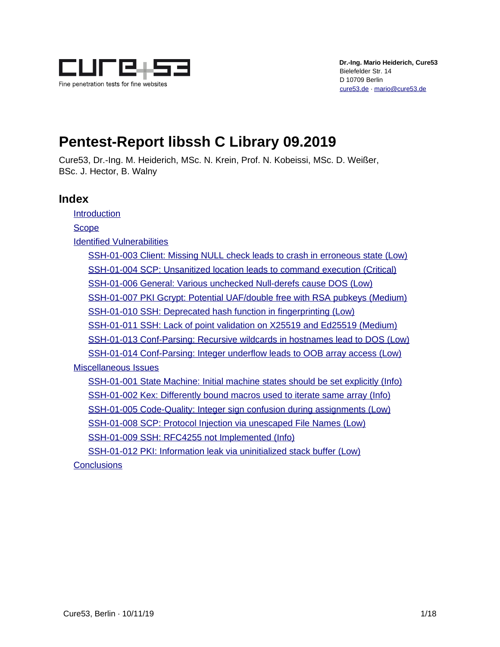

# **Pentest-Report libssh C Library 09.2019**

Cure53, Dr.-Ing. M. Heiderich, MSc. N. Krein, Prof. N. Kobeissi, MSc. D. Weißer, BSc. J. Hector, B. Walny

# **Index**

**[Introduction](#page-1-0)** 

**[Scope](#page-2-0)** 

[Identified Vulnerabilities](#page-3-1)

[SSH-01-003 Client: Missing NULL check leads to crash in erroneous state \(Low\)](#page-3-0) [SSH-01-004 SCP: Unsanitized location leads to command execution \(Critical\)](#page-4-0) [SSH-01-006 General: Various unchecked Null-derefs cause DOS \(Low\)](#page-5-0) [SSH-01-007 PKI Gcrypt: Potential UAF/double free with RSA pubkeys \(Medium\)](#page-6-0) [SSH-01-010 SSH: Deprecated hash function in fingerprinting \(Low\)](#page-7-0) [SSH-01-011 SSH: Lack of point validation on X25519 and Ed25519 \(Medium\)](#page-8-0) [SSH-01-013 Conf-Parsing: Recursive wildcards in hostnames lead to DOS \(Low\)](#page-9-0) [SSH-01-014 Conf-Parsing: Integer underflow leads to OOB array access \(Low\)](#page-10-0)

[Miscellaneous Issues](#page-11-2)

[SSH-01-001 State Machine: Initial machine states should be set explicitly \(Info\)](#page-11-1) [SSH-01-002 Kex: Differently bound macros used to iterate same array \(Info\)](#page-11-0) [SSH-01-005 Code-Quality: Integer sign confusion during assignments \(Low\)](#page-12-0) [SSH-01-008 SCP: Protocol Injection via unescaped File Names \(Low\)](#page-13-0) [SSH-01-009 SSH: RFC4255 not Implemented \(Info\)](#page-14-1) [SSH-01-012 PKI: Information leak via uninitialized stack buffer \(Low\)](#page-14-0)

**[Conclusions](#page-16-0)**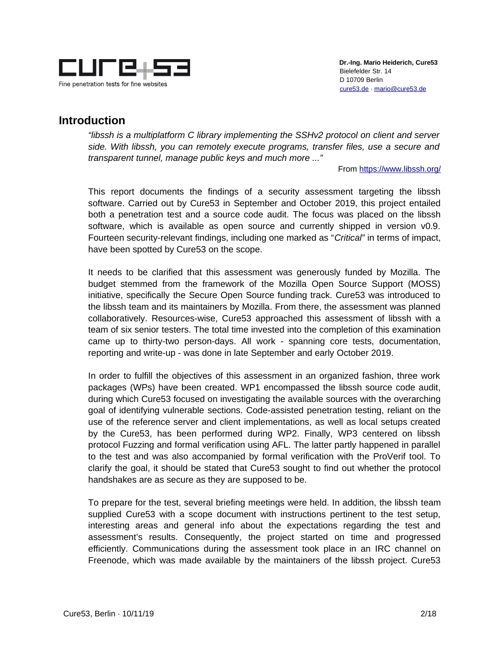

# <span id="page-1-0"></span>**Introduction**

*"libssh is a multiplatform C library implementing the SSHv2 protocol on client and server side. With libssh, you can remotely execute programs, transfer files, use a secure and transparent tunnel, manage public keys and much more ..."*

From<https://www.libssh.org/>

This report documents the findings of a security assessment targeting the libssh software. Carried out by Cure53 in September and October 2019, this project entailed both a penetration test and a source code audit. The focus was placed on the libssh software, which is available as open source and currently shipped in version v0.9. Fourteen security-relevant findings, including one marked as "*Critical"* in terms of impact, have been spotted by Cure53 on the scope.

It needs to be clarified that this assessment was generously funded by Mozilla. The budget stemmed from the framework of the Mozilla Open Source Support (MOSS) initiative, specifically the Secure Open Source funding track. Cure53 was introduced to the libssh team and its maintainers by Mozilla. From there, the assessment was planned collaboratively. Resources-wise, Cure53 approached this assessment of libssh with a team of six senior testers. The total time invested into the completion of this examination came up to thirty-two person-days. All work - spanning core tests, documentation, reporting and write-up - was done in late September and early October 2019.

In order to fulfill the objectives of this assessment in an organized fashion, three work packages (WPs) have been created. WP1 encompassed the libssh source code audit, during which Cure53 focused on investigating the available sources with the overarching goal of identifying vulnerable sections. Code-assisted penetration testing, reliant on the use of the reference server and client implementations, as well as local setups created by the Cure53, has been performed during WP2. Finally, WP3 centered on libssh protocol Fuzzing and formal verification using AFL. The latter partly happened in parallel to the test and was also accompanied by formal verification with the ProVerif tool. To clarify the goal, it should be stated that Cure53 sought to find out whether the protocol handshakes are as secure as they are supposed to be.

To prepare for the test, several briefing meetings were held. In addition, the libssh team supplied Cure53 with a scope document with instructions pertinent to the test setup, interesting areas and general info about the expectations regarding the test and assessment's results. Consequently, the project started on time and progressed efficiently. Communications during the assessment took place in an IRC channel on Freenode, which was made available by the maintainers of the libssh project. Cure53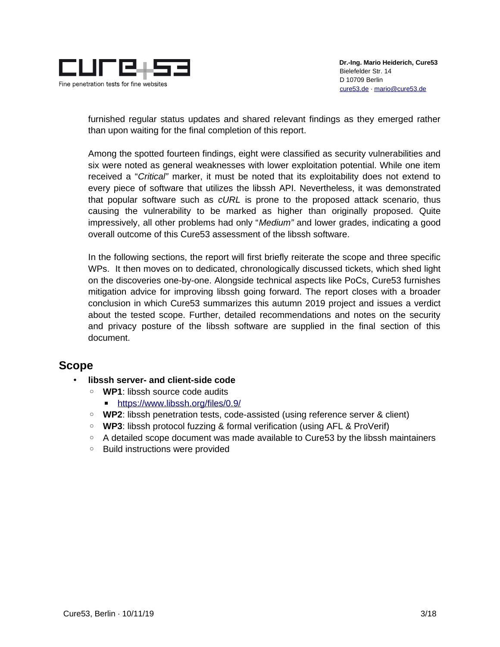

furnished regular status updates and shared relevant findings as they emerged rather than upon waiting for the final completion of this report.

Among the spotted fourteen findings, eight were classified as security vulnerabilities and six were noted as general weaknesses with lower exploitation potential. While one item received a "*Critical"* marker, it must be noted that its exploitability does not extend to every piece of software that utilizes the libssh API. Nevertheless, it was demonstrated that popular software such as *cURL* is prone to the proposed attack scenario, thus causing the vulnerability to be marked as higher than originally proposed. Quite impressively, all other problems had only "*Medium"* and lower grades, indicating a good overall outcome of this Cure53 assessment of the libssh software.

In the following sections, the report will first briefly reiterate the scope and three specific WPs. It then moves on to dedicated, chronologically discussed tickets, which shed light on the discoveries one-by-one. Alongside technical aspects like PoCs, Cure53 furnishes mitigation advice for improving libssh going forward. The report closes with a broader conclusion in which Cure53 summarizes this autumn 2019 project and issues a verdict about the tested scope. Further, detailed recommendations and notes on the security and privacy posture of the libssh software are supplied in the final section of this document.

# <span id="page-2-0"></span>**Scope**

- **libssh server- and client-side code**
	- **WP1**: libssh source code audits
		- ■<https://www.libssh.org/files/0.9/>
	- **WP2**: libssh penetration tests, code-assisted (using reference server & client)
	- **WP3**: libssh protocol fuzzing & formal verification (using AFL & ProVerif)
	- A detailed scope document was made available to Cure53 by the libssh maintainers
	- Build instructions were provided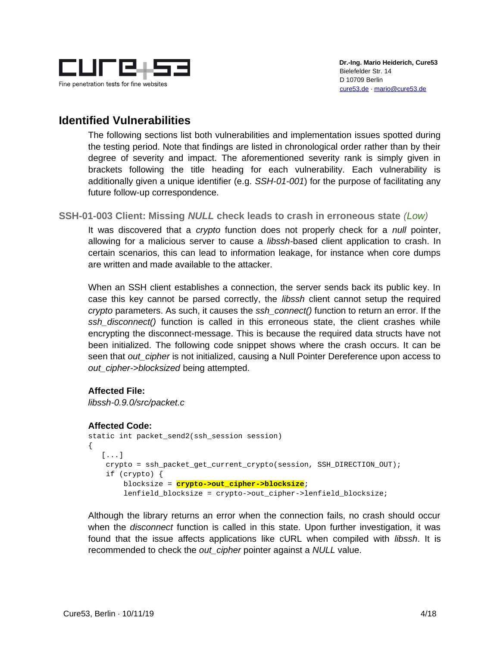

# <span id="page-3-1"></span>**Identified Vulnerabilities**

The following sections list both vulnerabilities and implementation issues spotted during the testing period. Note that findings are listed in chronological order rather than by their degree of severity and impact. The aforementioned severity rank is simply given in brackets following the title heading for each vulnerability. Each vulnerability is additionally given a unique identifier (e.g. *SSH-01-001*) for the purpose of facilitating any future follow-up correspondence.

<span id="page-3-0"></span>**SSH-01-003 Client: Missing** *NULL* **check leads to crash in erroneous state** *(Low)*

It was discovered that a *crypto* function does not properly check for a *null* pointer, allowing for a malicious server to cause a *libssh-*based client application to crash. In certain scenarios, this can lead to information leakage, for instance when core dumps are written and made available to the attacker.

When an SSH client establishes a connection, the server sends back its public key. In case this key cannot be parsed correctly, the *libssh* client cannot setup the required *crypto* parameters. As such, it causes the *ssh\_connect()* function to return an error. If the *ssh\_disconnect()* function is called in this erroneous state, the client crashes while encrypting the disconnect-message. This is because the required data structs have not been initialized. The following code snippet shows where the crash occurs. It can be seen that *out cipher* is not initialized, causing a Null Pointer Dereference upon access to *out\_cipher->blocksized* being attempted.

# **Affected File:**

*libssh-0.9.0/src/packet.c*

#### **Affected Code:**

```
static int packet send2(ssh session session)
{
    [...]
    crypto = ssh_packet_get_current_crypto(session, SSH_DIRECTION_OUT);
    if (crypto) {
         blocksize = crypto->out_cipher->blocksize;
         lenfield_blocksize = crypto->out_cipher->lenfield_blocksize;
```
Although the library returns an error when the connection fails, no crash should occur when the *disconnect* function is called in this state. Upon further investigation, it was found that the issue affects applications like cURL when compiled with *libssh*. It is recommended to check the *out\_cipher* pointer against a *NULL* value.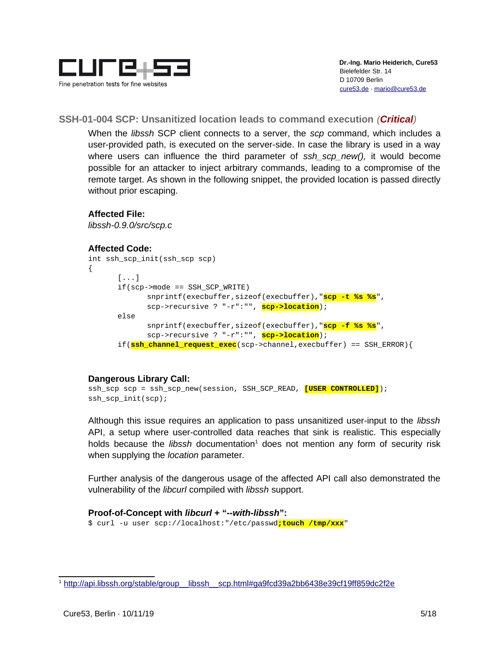

# <span id="page-4-0"></span>**SSH-01-004 SCP: Unsanitized location leads to command execution** *(Critical)*

When the *libssh* SCP client connects to a server, the *scp* command, which includes a user-provided path, is executed on the server-side. In case the library is used in a way where users can influence the third parameter of *ssh scp new()*, it would become possible for an attacker to inject arbitrary commands, leading to a compromise of the remote target. As shown in the following snippet, the provided location is passed directly without prior escaping.

# **Affected File:**

*libssh-0.9.0/src/scp.c*

#### **Affected Code:**

```
int ssh_scp_init(ssh_scp scp)
{
      [...]
      if(scp->mode == SSH_SCP_WRITE)
             snprintf(execbuffer,sizeof(execbuffer),"scp -t %s %s",
             scp->recursive ? "-r":"", scp->location);
      else
             snprintf(execbuffer,sizeof(execbuffer),"scp -f %s %s",
             scp->recursive ? "-r":"", scp->location);
      if(ssh_channel_request_exec(scp->channel,execbuffer) == SSH_ERROR){
```
#### **Dangerous Library Call:**

```
ssh_scp scp = ssh_scp_new(session, SSH_SCP_READ, [USER CONTROLLED]);
ssh_scp_init(scp);
```
Although this issue requires an application to pass unsanitized user-input to the *libssh* API, a setup where user-controlled data reaches that sink is realistic. This especially holds because the *libssh* documentation<sup>[1](#page-4-1)</sup> does not mention any form of security risk when supplying the *location* parameter.

Further analysis of the dangerous usage of the affected API call also demonstrated the vulnerability of the *libcurl* compiled with *libssh* support.

# **Proof-of-Concept with** *libcurl* **+ "***--with-libssh***":**

\$ curl -u user scp://localhost:"/etc/passwd**;touch /tmp/xxx**"

<span id="page-4-1"></span><sup>1</sup> [http://api.libssh.org/stable/group\\_\\_libssh\\_\\_scp.html#ga9fcd39a2bb6438e39cf19ff859dc2f2e](http://api.libssh.org/stable/group__libssh__scp.html#ga9fcd39a2bb6438e39cf19ff859dc2f2e)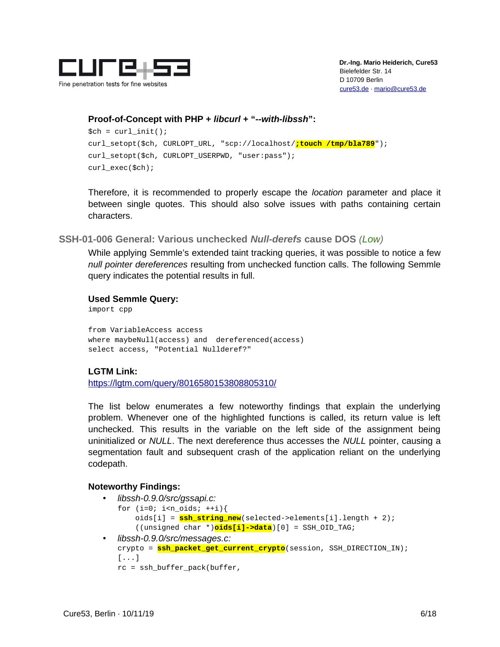

#### **Proof-of-Concept with PHP +** *libcurl* **+ "***--with-libssh***":**

```
$ch = curl\_init();
curl_setopt($ch, CURLOPT_URL, "scp://localhost/;touch /tmp/bla789");
curl_setopt($ch, CURLOPT_USERPWD, "user:pass");
curl_exec($ch);
```
Therefore, it is recommended to properly escape the *location* parameter and place it between single quotes. This should also solve issues with paths containing certain characters.

<span id="page-5-0"></span>**SSH-01-006 General: Various unchecked** *Null-derefs* **cause DOS** *(Low)*

While applying Semmle's extended taint tracking queries, it was possible to notice a few *null pointer dereferences* resulting from unchecked function calls. The following Semmle query indicates the potential results in full.

**Used Semmle Query:**

import cpp

from VariableAccess access where maybeNull(access) and dereferenced(access) select access, "Potential Nullderef?"

# **LGTM Link:**

<https://lgtm.com/query/8016580153808805310/>

The list below enumerates a few noteworthy findings that explain the underlying problem. Whenever one of the highlighted functions is called, its return value is left unchecked. This results in the variable on the left side of the assignment being uninitialized or *NULL*. The next dereference thus accesses the *NULL* pointer, causing a segmentation fault and subsequent crash of the application reliant on the underlying codepath.

#### **Noteworthy Findings:**

- *libssh-0.9.0/src/gssapi.c:* for  $(i=0; i<sub>n_oids; ++i)</sub>$ { oids[i] = **ssh\_string\_new**(selected->elements[i].length + 2); ((unsigned char \*)**oids[i]->data**)[0] = SSH\_OID\_TAG;
- *libssh-0.9.0/src/messages.c:* crypto = **ssh\_packet\_get\_current\_crypto**(session, SSH\_DIRECTION\_IN);  $[\ldots]$ rc = ssh\_buffer\_pack(buffer,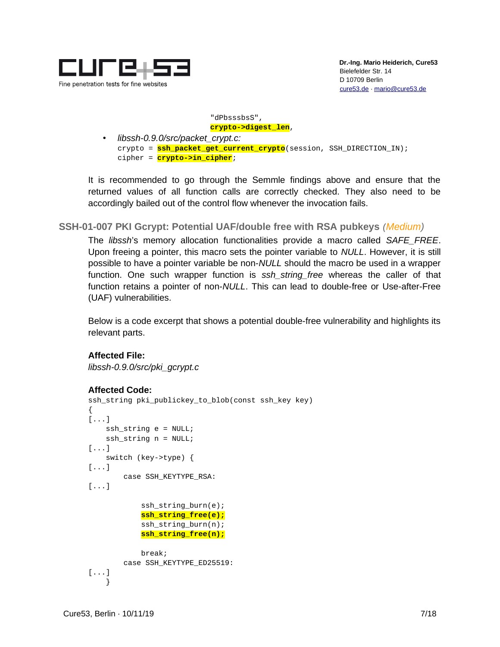

 "dPbsssbsS", **crypto->digest\_len**,

• *libssh-0.9.0/src/packet\_crypt.c:* crypto = **ssh\_packet\_get\_current\_crypto**(session, SSH\_DIRECTION\_IN); cipher = **crypto->in\_cipher**;

It is recommended to go through the Semmle findings above and ensure that the returned values of all function calls are correctly checked. They also need to be accordingly bailed out of the control flow whenever the invocation fails.

<span id="page-6-0"></span>**SSH-01-007 PKI Gcrypt: Potential UAF/double free with RSA pubkeys** *(Medium)*

The *libssh*'s memory allocation functionalities provide a macro called *SAFE\_FREE*. Upon freeing a pointer, this macro sets the pointer variable to *NULL*. However, it is still possible to have a pointer variable be non-*NULL* should the macro be used in a wrapper function. One such wrapper function is *ssh\_string\_free* whereas the caller of that function retains a pointer of non-*NULL*. This can lead to double-free or Use-after-Free (UAF) vulnerabilities.

Below is a code excerpt that shows a potential double-free vulnerability and highlights its relevant parts.

```
Affected File:
libssh-0.9.0/src/pki_gcrypt.c
```

```
Affected Code:
```

```
ssh_string pki_publickey_to_blob(const ssh_key key)
{
[\ldots] ssh_string e = NULL;
    ssh\_string n = NULL;[...]
     switch (key->type) {
[\ldots] case SSH_KEYTYPE_RSA:
[...]
             ssh_string_burn(e);
             ssh_string_free(e);
             ssh_string_burn(n);
             ssh_string_free(n);
             break;
         case SSH_KEYTYPE_ED25519:
[...]
     }
```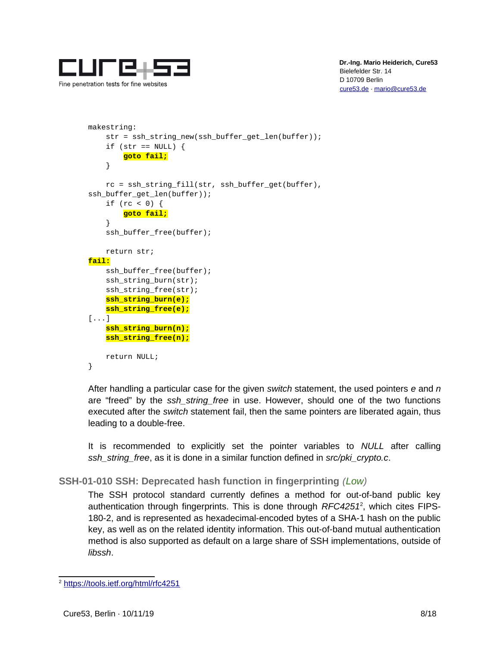

```
makestring:
     str = ssh_string_new(ssh_buffer_get_len(buffer));
    if (str == NULL) {
         goto fail;
     }
     rc = ssh_string_fill(str, ssh_buffer_get(buffer), 
ssh_buffer_get_len(buffer));
    if (rc < 0) {
         goto fail;
     }
     ssh_buffer_free(buffer);
     return str;
fail:
     ssh_buffer_free(buffer);
    ssh string burn(str);
     ssh_string_free(str);
     ssh_string_burn(e);
     ssh_string_free(e);
[...]
     ssh_string_burn(n);
     ssh_string_free(n);
     return NULL;
}
```
After handling a particular case for the given *switch* statement, the used pointers *e* and *n* are "freed" by the *ssh\_string\_free* in use. However, should one of the two functions executed after the *switch* statement fail, then the same pointers are liberated again, thus leading to a double-free.

It is recommended to explicitly set the pointer variables to *NULL* after calling *ssh\_string\_free*, as it is done in a similar function defined in *src/pki\_crypto.c*.

# <span id="page-7-0"></span>**SSH-01-010 SSH: Deprecated hash function in fingerprinting** *(Low)*

The SSH protocol standard currently defines a method for out-of-band public key authentication through fingerprints. This is done through *RFC4251*[2](#page-7-1) , which cites FIPS-180-2, and is represented as hexadecimal-encoded bytes of a SHA-1 hash on the public key, as well as on the related identity information. This out-of-band mutual authentication method is also supported as default on a large share of SSH implementations, outside of *libssh*.

<span id="page-7-1"></span><sup>2</sup> <https://tools.ietf.org/html/rfc4251>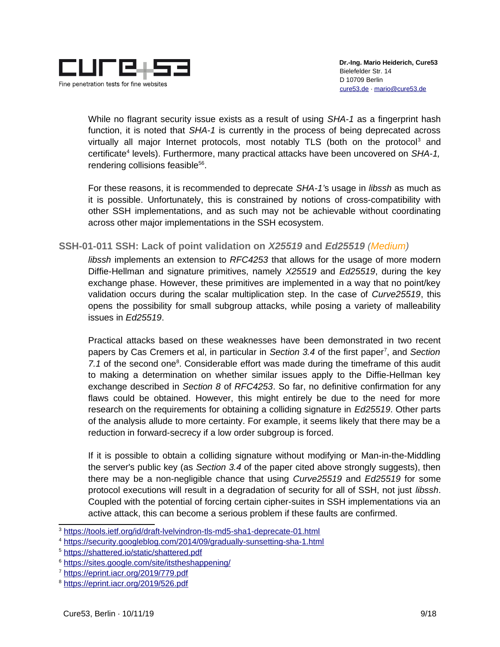

While no flagrant security issue exists as a result of using *SHA-1* as a fingerprint hash function, it is noted that *SHA-1* is currently in the process of being deprecated across virtually all major Internet protocols, most notably TLS (both on the protocol<sup>[3](#page-8-1)</sup> and certificate<sup>[4](#page-8-2)</sup> levels). Furthermore, many practical attacks have been uncovered on SHA-1, rendering collisions feasible<sup>[5](#page-8-3)[6](#page-8-4)</sup>.

For these reasons, it is recommended to deprecate *SHA-1'*s usage in *libssh* as much as it is possible. Unfortunately, this is constrained by notions of cross-compatibility with other SSH implementations, and as such may not be achievable without coordinating across other major implementations in the SSH ecosystem.

# <span id="page-8-0"></span>**SSH-01-011 SSH: Lack of point validation on** *X25519* **and** *Ed25519 (Medium)*

*libssh* implements an extension to *RFC4253* that allows for the usage of more modern Diffie-Hellman and signature primitives, namely *X25519* and *Ed25519*, during the key exchange phase. However, these primitives are implemented in a way that no point/key validation occurs during the scalar multiplication step. In the case of *Curve25519*, this opens the possibility for small subgroup attacks, while posing a variety of malleability issues in *Ed25519*.

Practical attacks based on these weaknesses have been demonstrated in two recent papers by Cas Cremers et al, in particular in Section 3.4 of the first paper<sup>[7](#page-8-5)</sup>, and Section 7.1 of the second one<sup>[8](#page-8-6)</sup>. Considerable effort was made during the timeframe of this audit to making a determination on whether similar issues apply to the Diffie-Hellman key exchange described in *Section 8* of *RFC4253*. So far, no definitive confirmation for any flaws could be obtained. However, this might entirely be due to the need for more research on the requirements for obtaining a colliding signature in *Ed25519*. Other parts of the analysis allude to more certainty. For example, it seems likely that there may be a reduction in forward-secrecy if a low order subgroup is forced.

If it is possible to obtain a colliding signature without modifying or Man-in-the-Middling the server's public key (as *Section 3.4* of the paper cited above strongly suggests), then there may be a non-negligible chance that using *Curve25519* and *Ed25519* for some protocol executions will result in a degradation of security for all of SSH, not just *libssh*. Coupled with the potential of forcing certain cipher-suites in SSH implementations via an active attack, this can become a serious problem if these faults are confirmed.

<span id="page-8-1"></span><sup>3</sup> <https://tools.ietf.org/id/draft-lvelvindron-tls-md5-sha1-deprecate-01.html>

<span id="page-8-2"></span><sup>4</sup> <https://security.googleblog.com/2014/09/gradually-sunsetting-sha-1.html>

<span id="page-8-3"></span><sup>5</sup> <https://shattered.io/static/shattered.pdf>

<span id="page-8-4"></span><sup>6</sup> <https://sites.google.com/site/itstheshappening/>

<span id="page-8-5"></span><sup>7</sup> <https://eprint.iacr.org/2019/779.pdf>

<span id="page-8-6"></span><sup>8</sup> <https://eprint.iacr.org/2019/526.pdf>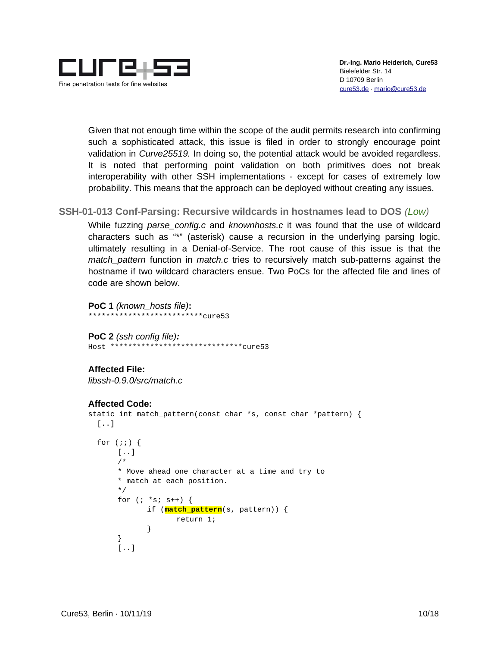

Given that not enough time within the scope of the audit permits research into confirming such a sophisticated attack, this issue is filed in order to strongly encourage point validation in *Curve25519.* In doing so, the potential attack would be avoided regardless. It is noted that performing point validation on both primitives does not break interoperability with other SSH implementations - except for cases of extremely low probability. This means that the approach can be deployed without creating any issues.

# <span id="page-9-0"></span>**SSH-01-013 Conf-Parsing: Recursive wildcards in hostnames lead to DOS** *(Low)*

While fuzzing *parse\_config.c* and *knownhosts.c* it was found that the use of wildcard characters such as "\*" (asterisk) cause a recursion in the underlying parsing logic, ultimately resulting in a Denial-of-Service. The root cause of this issue is that the *match\_pattern* function in *match.c* tries to recursively match sub-patterns against the hostname if two wildcard characters ensue. Two PoCs for the affected file and lines of code are shown below.

**PoC 1** *(known\_hosts file)***:**  $****$ cure53

**PoC 2** *(ssh config file):* Host \*\*\*\*\*\*\*\*\*\*\*\*\*\*\*\*\*\*\*\*\*\*\*\*\*\*\*\*\*\*cure53

#### **Affected File:**

*libssh-0.9.0/src/match.c*

#### **Affected Code:**

```
static int match_pattern(const char *s, const char *pattern) {
 [\ldots]for (;;) {
       [..]
      /*
       * Move ahead one character at a time and try to
       * match at each position.
       */
       for (; *s; s++) {
              if (match_pattern(s, pattern)) {
                     return 1;
 }
      }
      [..]
```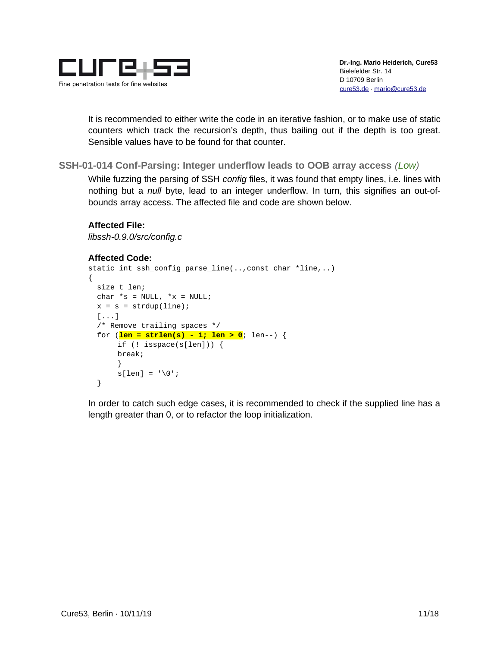

It is recommended to either write the code in an iterative fashion, or to make use of static counters which track the recursion's depth, thus bailing out if the depth is too great. Sensible values have to be found for that counter.

<span id="page-10-0"></span>**SSH-01-014 Conf-Parsing: Integer underflow leads to OOB array access** *(Low)*

While fuzzing the parsing of SSH *config* files, it was found that empty lines, i.e. lines with nothing but a *null* byte, lead to an integer underflow. In turn, this signifies an out-ofbounds array access. The affected file and code are shown below.

```
Affected File:
```
*libssh-0.9.0/src/config.c*

```
Affected Code:
static int ssh_config_parse_line(..,const char *line,..)
{
   size_t len;
  char *_S = NULL, *_X = NULL;
  x = s = \text{strdup}(\text{line}); [...]
   /* Remove trailing spaces */
   for (len = strlen(s) - 1; len > 0; len--) {
       if (! isspace(s[len])) { 
        break;
       }
       s[len] = ' \0'; }
```
In order to catch such edge cases, it is recommended to check if the supplied line has a length greater than 0, or to refactor the loop initialization.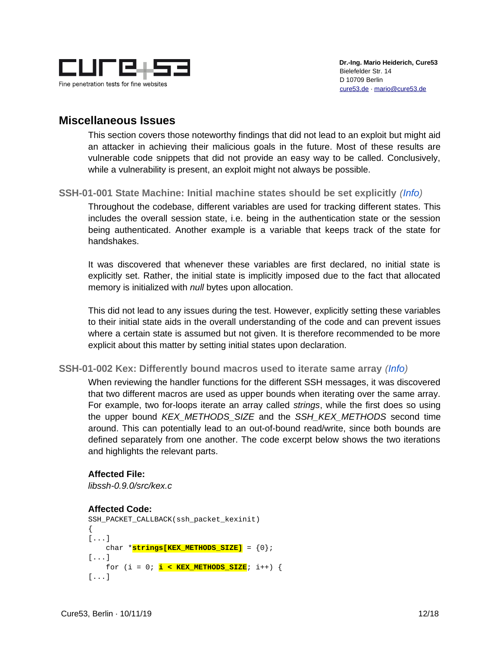

# <span id="page-11-2"></span>**Miscellaneous Issues**

This section covers those noteworthy findings that did not lead to an exploit but might aid an attacker in achieving their malicious goals in the future. Most of these results are vulnerable code snippets that did not provide an easy way to be called. Conclusively, while a vulnerability is present, an exploit might not always be possible.

# <span id="page-11-1"></span>**SSH-01-001 State Machine: Initial machine states should be set explicitly** *(Info)*

Throughout the codebase, different variables are used for tracking different states. This includes the overall session state, i.e. being in the authentication state or the session being authenticated. Another example is a variable that keeps track of the state for handshakes.

It was discovered that whenever these variables are first declared, no initial state is explicitly set. Rather, the initial state is implicitly imposed due to the fact that allocated memory is initialized with *null* bytes upon allocation.

This did not lead to any issues during the test. However, explicitly setting these variables to their initial state aids in the overall understanding of the code and can prevent issues where a certain state is assumed but not given. It is therefore recommended to be more explicit about this matter by setting initial states upon declaration.

# <span id="page-11-0"></span>**SSH-01-002 Kex: Differently bound macros used to iterate same array** *(Info)*

When reviewing the handler functions for the different SSH messages, it was discovered that two different macros are used as upper bounds when iterating over the same array. For example, two for-loops iterate an array called *strings*, while the first does so using the upper bound *KEX\_METHODS\_SIZE* and the *SSH\_KEX\_METHODS* second time around. This can potentially lead to an out-of-bound read/write, since both bounds are defined separately from one another. The code excerpt below shows the two iterations and highlights the relevant parts.

# **Affected File:**

*libssh-0.9.0/src/kex.c*

# **Affected Code:**

```
SSH_PACKET_CALLBACK(ssh_packet_kexinit)
{
[...]
     char *strings[KEX_METHODS_SIZE] = {0};
[...]
     for (i = 0; i < KEX_METHODS_SIZE; i++) {
[...]
```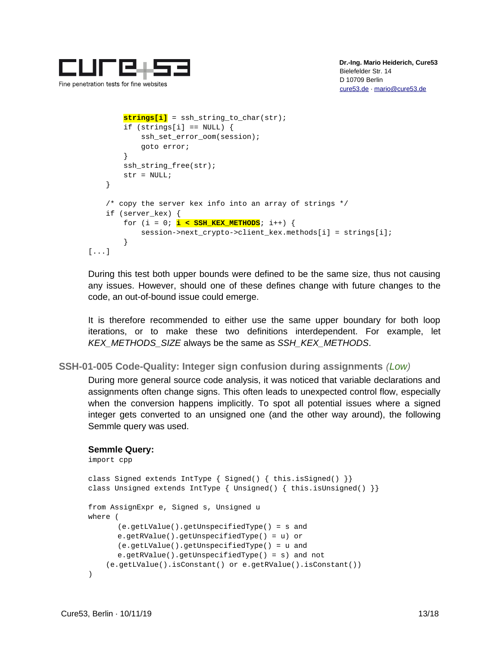

```
 strings[i] = ssh_string_to_char(str);
        if (strings[i] == NULL) {
             ssh_set_error_oom(session);
             goto error;
         }
         ssh_string_free(str);
        str = NULL; }
     /* copy the server kex info into an array of strings */
     if (server_kex) {
        for (i = 0; i < sSH_KEX_METHODS; i++) {
             session->next_crypto->client_kex.methods[i] = strings[i];
         }
[...]
```
During this test both upper bounds were defined to be the same size, thus not causing any issues. However, should one of these defines change with future changes to the code, an out-of-bound issue could emerge.

It is therefore recommended to either use the same upper boundary for both loop iterations, or to make these two definitions interdependent. For example, let *KEX\_METHODS\_SIZE* always be the same as *SSH\_KEX\_METHODS*.

```
SSH-01-005 Code-Quality: Integer sign confusion during assignments (Low)
```
During more general source code analysis, it was noticed that variable declarations and assignments often change signs. This often leads to unexpected control flow, especially when the conversion happens implicitly. To spot all potential issues where a signed integer gets converted to an unsigned one (and the other way around), the following Semmle query was used.

```
Semmle Query:
```

```
import cpp
class Signed extends IntType { Signed() { this.isSigned() \}}
class Unsigned extends IntType { Unsigned() { this.isUnsigned() \}}
from AssignExpr e, Signed s, Unsigned u
where (
      (e.getLValue().getUnspecifiedType() = s and
      e.getRValue().getUnspecifiedType() = u) or
      (e.getLValue().getUnspecifiedType() = u and
      e.getRValue().getUnspecifiedType() = s) and not
     (e.getLValue().isConstant() or e.getRValue().isConstant())
)
```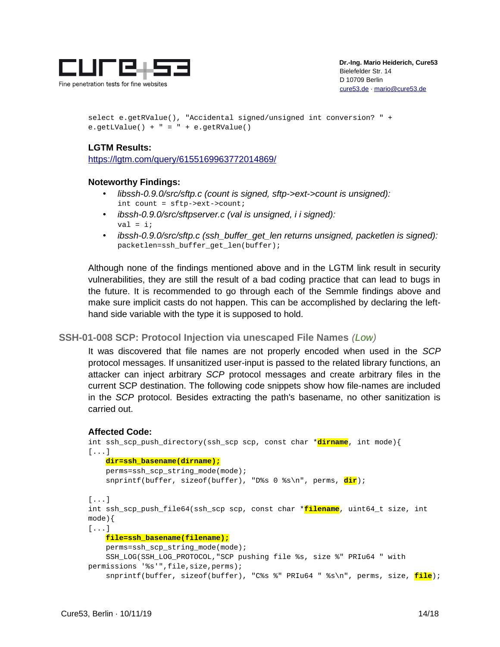

select e.getRValue(), "Accidental signed/unsigned int conversion? " + e.getLValue() +  $" = " + e.getRValue()$ 

### **LGTM Results:**

<https://lgtm.com/query/6155169963772014869/>

#### **Noteworthy Findings:**

- *libssh-0.9.0/src/sftp.c (count is signed, sftp->ext->count is unsigned):* int count = sftp->ext->count;
- *ibssh-0.9.0/src/sftpserver.c (val is unsigned, i i signed):*  $val = i;$
- *ibssh-0.9.0/src/sftp.c (ssh\_buffer\_get\_len returns unsigned, packetlen is signed):* packetlen=ssh\_buffer\_get\_len(buffer);

Although none of the findings mentioned above and in the LGTM link result in security vulnerabilities, they are still the result of a bad coding practice that can lead to bugs in the future. It is recommended to go through each of the Semmle findings above and make sure implicit casts do not happen. This can be accomplished by declaring the lefthand side variable with the type it is supposed to hold.

#### <span id="page-13-0"></span>**SSH-01-008 SCP: Protocol Injection via unescaped File Names** *(Low)*

It was discovered that file names are not properly encoded when used in the *SCP* protocol messages. If unsanitized user-input is passed to the related library functions, an attacker can inject arbitrary *SCP* protocol messages and create arbitrary files in the current SCP destination. The following code snippets show how file-names are included in the *SCP* protocol. Besides extracting the path's basename, no other sanitization is carried out.

#### **Affected Code:**

```
int ssh_scp_push_directory(ssh_scp scp, const char *dirname, int mode){
[...]
     dir=ssh_basename(dirname);
     perms=ssh_scp_string_mode(mode);
     snprintf(buffer, sizeof(buffer), "D%s 0 %s\n", perms, dir);
[...]
int ssh_scp_push_file64(ssh_scp scp, const char *filename, uint64_t size, int 
mode){
[\ldots] file=ssh_basename(filename);
     perms=ssh_scp_string_mode(mode);
     SSH_LOG(SSH_LOG_PROTOCOL,"SCP pushing file %s, size %" PRIu64 " with 
permissions '%s'", file, size, perms);
     snprintf(buffer, sizeof(buffer), "C%s %" PRIu64 " %s\n", perms, size, file);
```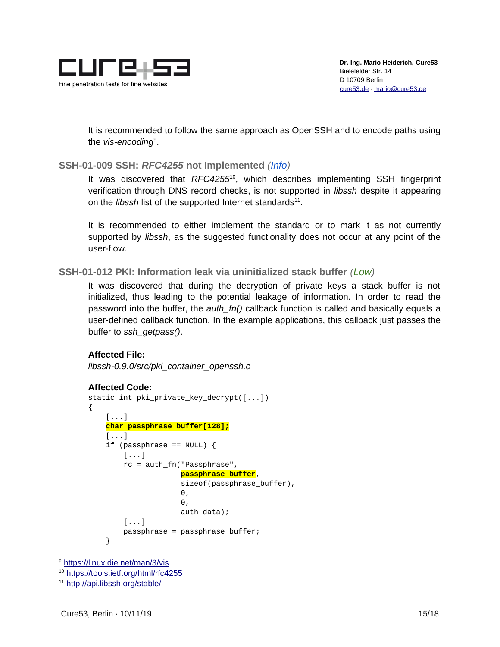

It is recommended to follow the same approach as OpenSSH and to encode paths using the *vis-encoding*[9](#page-14-2) .

# <span id="page-14-1"></span>**SSH-01-009 SSH:** *RFC4255* **not Implemented** *(Info)*

It was discovered that *RFC4255*[10](#page-14-3), which describes implementing SSH fingerprint verification through DNS record checks, is not supported in *libssh* despite it appearing on the *libssh* list of the supported Internet standards<sup>[11](#page-14-4)</sup>.

It is recommended to either implement the standard or to mark it as not currently supported by *libssh*, as the suggested functionality does not occur at any point of the user-flow.

# <span id="page-14-0"></span>**SSH-01-012 PKI: Information leak via uninitialized stack buffer** *(Low)*

It was discovered that during the decryption of private keys a stack buffer is not initialized, thus leading to the potential leakage of information. In order to read the password into the buffer, the *auth\_fn()* callback function is called and basically equals a user-defined callback function. In the example applications, this callback just passes the buffer to *ssh\_getpass()*.

# **Affected File:**

*libssh-0.9.0/src/pki\_container\_openssh.c*

#### **Affected Code:**

```
static int pki_private_key_decrypt([...])
{
        [...]
       char passphrase_buffer[128];
        [...]
       if (passphrase == NULL) {
              [\ldots] rc = auth_fn("Passphrase",
                                       passphrase_buffer,
                                       sizeof(passphrase_buffer),
\circ , and \circ , and \circ , and \circ , and \circ , and \circ , and \circ , and \circ , and \circ , and \circ , and \circ , and \circ , and \circ , and \circ , and \circ , and \circ , and \circ , and \circ , and \circ , and \circ , and \overline{\mathbf{0}},
                                       auth_data);
              [\ldots] passphrase = passphrase_buffer;
       }
```
<span id="page-14-2"></span><sup>9</sup> <https://linux.die.net/man/3/vis>

<span id="page-14-3"></span><sup>10</sup> <https://tools.ietf.org/html/rfc4255>

<span id="page-14-4"></span><sup>11</sup> <http://api.libssh.org/stable/>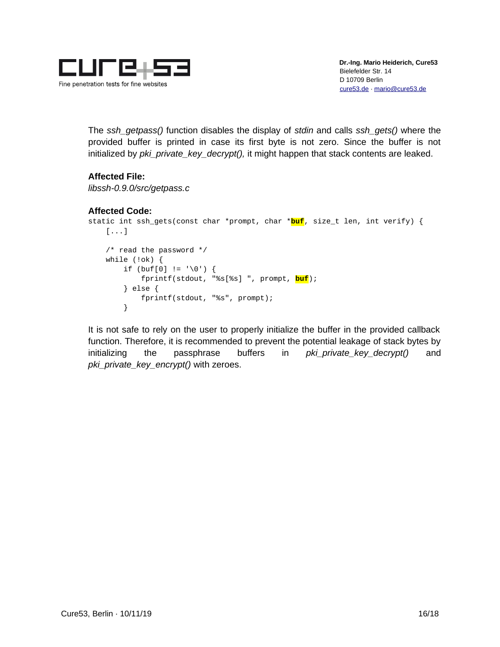

The *ssh\_getpass()* function disables the display of *stdin* and calls *ssh\_gets()* where the provided buffer is printed in case its first byte is not zero. Since the buffer is not initialized by *pki\_private\_key\_decrypt(),* it might happen that stack contents are leaked.

# **Affected File:**

*libssh-0.9.0/src/getpass.c*

# **Affected Code:**

```
static int ssh_gets(const char *prompt, char *buf, size_t len, int verify) {
     [...]
    \frac{1}{2} read the password \frac{1}{2} while (!ok) {
        if (buf[0] != '\0') {
              fprintf(stdout, "%s[%s] ", prompt, buf);
         } else {
              fprintf(stdout, "%s", prompt);
         }
```
It is not safe to rely on the user to properly initialize the buffer in the provided callback function. Therefore, it is recommended to prevent the potential leakage of stack bytes by initializing the passphrase buffers in *pki\_private\_key\_decrypt()* and *pki\_private\_key\_encrypt()* with zeroes.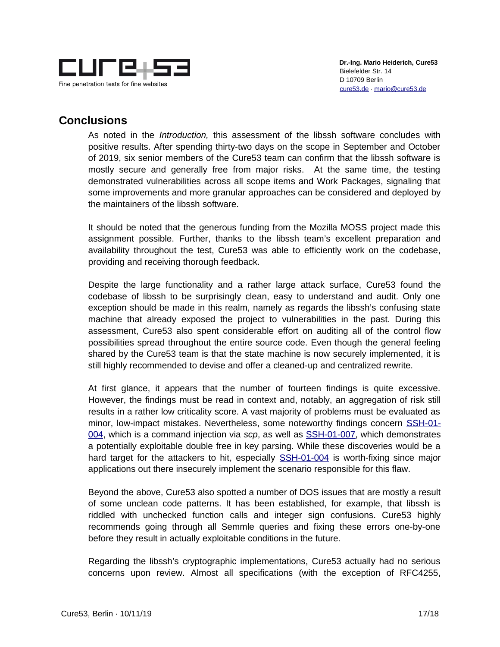

# <span id="page-16-0"></span>**Conclusions**

As noted in the *Introduction,* this assessment of the libssh software concludes with positive results. After spending thirty-two days on the scope in September and October of 2019, six senior members of the Cure53 team can confirm that the libssh software is mostly secure and generally free from major risks. At the same time, the testing demonstrated vulnerabilities across all scope items and Work Packages, signaling that some improvements and more granular approaches can be considered and deployed by the maintainers of the libssh software.

It should be noted that the generous funding from the Mozilla MOSS project made this assignment possible. Further, thanks to the libssh team's excellent preparation and availability throughout the test, Cure53 was able to efficiently work on the codebase, providing and receiving thorough feedback.

Despite the large functionality and a rather large attack surface, Cure53 found the codebase of libssh to be surprisingly clean, easy to understand and audit. Only one exception should be made in this realm, namely as regards the libssh's confusing state machine that already exposed the project to vulnerabilities in the past. During this assessment, Cure53 also spent considerable effort on auditing all of the control flow possibilities spread throughout the entire source code. Even though the general feeling shared by the Cure53 team is that the state machine is now securely implemented, it is still highly recommended to devise and offer a cleaned-up and centralized rewrite.

At first glance, it appears that the number of fourteen findings is quite excessive. However, the findings must be read in context and, notably, an aggregation of risk still results in a rather low criticality score. A vast majority of problems must be evaluated as minor, low-impact mistakes. Nevertheless, some noteworthy findings concern [SSH-01-](#page-4-0) [004,](#page-4-0) which is a command injection via *scp*, as well as [SSH-01-007,](#page-6-0) which demonstrates a potentially exploitable double free in key parsing. While these discoveries would be a hard target for the attackers to hit, especially **[SSH-01-004](#page-4-0)** is worth-fixing since major applications out there insecurely implement the scenario responsible for this flaw.

Beyond the above, Cure53 also spotted a number of DOS issues that are mostly a result of some unclean code patterns. It has been established, for example, that libssh is riddled with unchecked function calls and integer sign confusions. Cure53 highly recommends going through all Semmle queries and fixing these errors one-by-one before they result in actually exploitable conditions in the future.

Regarding the libssh's cryptographic implementations, Cure53 actually had no serious concerns upon review. Almost all specifications (with the exception of RFC4255,